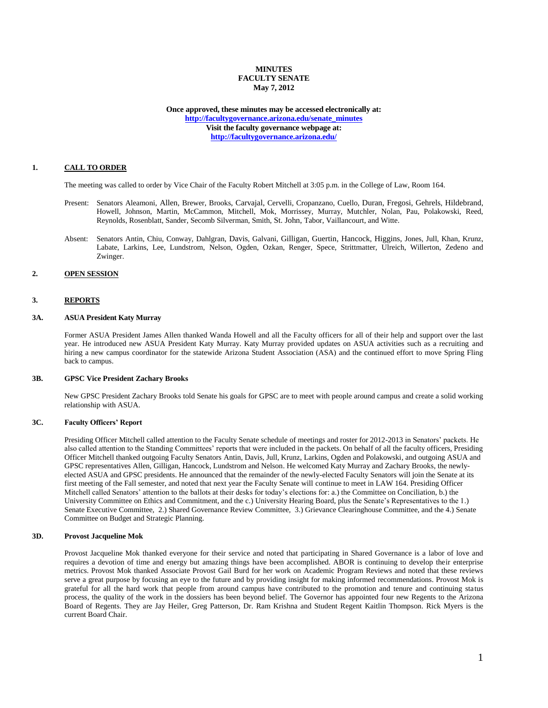## **MINUTES FACULTY SENATE May 7, 2012**

**Once approved, these minutes may be accessed electronically at: [http://facultygovernance.arizona.edu/senate\\_minutes](http://facultygovernance.arizona.edu/senate_minutes) Visit the faculty governance webpage at: <http://facultygovernance.arizona.edu/>**

## **1. CALL TO ORDER**

The meeting was called to order by Vice Chair of the Faculty Robert Mitchell at 3:05 p.m. in the College of Law, Room 164.

- Present: Senators Aleamoni, Allen, Brewer, Brooks, Carvajal, Cervelli, Cropanzano, Cuello, Duran, Fregosi, Gehrels, Hildebrand, Howell, Johnson, Martin, McCammon, Mitchell, Mok, Morrissey, Murray, Mutchler, Nolan, Pau, Polakowski, Reed, Reynolds, Rosenblatt, Sander, Secomb Silverman, Smith, St. John, Tabor, Vaillancourt, and Witte.
- Absent: Senators Antin, Chiu, Conway, Dahlgran, Davis, Galvani, Gilligan, Guertin, Hancock, Higgins, Jones, Jull, Khan, Krunz, Labate, Larkins, Lee, Lundstrom, Nelson, Ogden, Ozkan, Renger, Spece, Strittmatter, Ulreich, Willerton, Zedeno and Zwinger.

## **2. OPEN SESSION**

### **3. REPORTS**

### **3A. ASUA President Katy Murray**

Former ASUA President James Allen thanked Wanda Howell and all the Faculty officers for all of their help and support over the last year. He introduced new ASUA President Katy Murray. Katy Murray provided updates on ASUA activities such as a recruiting and hiring a new campus coordinator for the statewide Arizona Student Association (ASA) and the continued effort to move Spring Fling back to campus.

### **3B. GPSC Vice President Zachary Brooks**

New GPSC President Zachary Brooks told Senate his goals for GPSC are to meet with people around campus and create a solid working relationship with ASUA.

### **3C. Faculty Officers' Report**

Presiding Officer Mitchell called attention to the Faculty Senate schedule of meetings and roster for 2012-2013 in Senators' packets. He also called attention to the Standing Committees' reports that were included in the packets. On behalf of all the faculty officers, Presiding Officer Mitchell thanked outgoing Faculty Senators Antin, Davis, Jull, Krunz, Larkins, Ogden and Polakowski, and outgoing ASUA and GPSC representatives Allen, Gilligan, Hancock, Lundstrom and Nelson. He welcomed Katy Murray and Zachary Brooks, the newlyelected ASUA and GPSC presidents. He announced that the remainder of the newly-elected Faculty Senators will join the Senate at its first meeting of the Fall semester, and noted that next year the Faculty Senate will continue to meet in LAW 164. Presiding Officer Mitchell called Senators' attention to the ballots at their desks for today's elections for: a.) the Committee on Conciliation, b.) the University Committee on Ethics and Commitment, and the c.) University Hearing Board, plus the Senate's Representatives to the 1.) Senate Executive Committee, 2.) Shared Governance Review Committee, 3.) Grievance Clearinghouse Committee, and the 4.) Senate Committee on Budget and Strategic Planning.

## **3D. Provost Jacqueline Mok**

Provost Jacqueline Mok thanked everyone for their service and noted that participating in Shared Governance is a labor of love and requires a devotion of time and energy but amazing things have been accomplished. ABOR is continuing to develop their enterprise metrics. Provost Mok thanked Associate Provost Gail Burd for her work on Academic Program Reviews and noted that these reviews serve a great purpose by focusing an eye to the future and by providing insight for making informed recommendations. Provost Mok is grateful for all the hard work that people from around campus have contributed to the promotion and tenure and continuing status process, the quality of the work in the dossiers has been beyond belief. The Governor has appointed four new Regents to the Arizona Board of Regents. They are Jay Heiler, Greg Patterson, Dr. Ram Krishna and Student Regent Kaitlin Thompson. Rick Myers is the current Board Chair.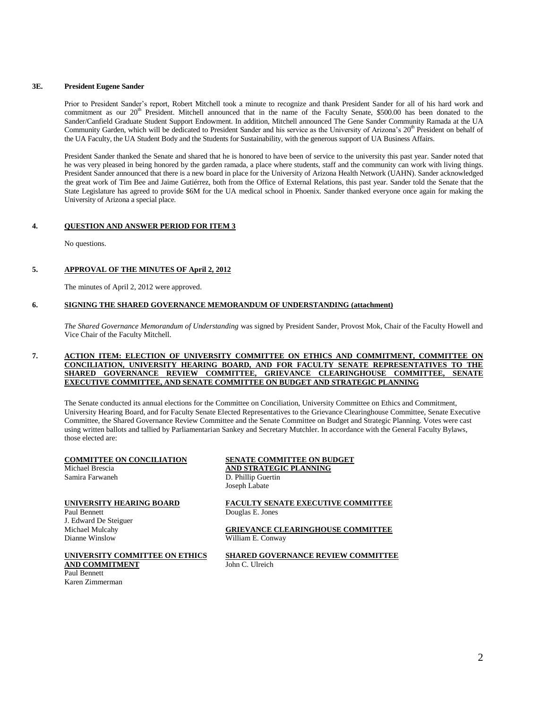### **3E. President Eugene Sander**

Prior to President Sander's report, Robert Mitchell took a minute to recognize and thank President Sander for all of his hard work and commitment as our 20<sup>th</sup> President. Mitchell announced that in the name of the Faculty Senate, \$500.00 has been donated to the Sander/Canfield Graduate Student Support Endowment. In addition, Mitchell announced The Gene Sander Community Ramada at the UA Community Garden, which will be dedicated to President Sander and his service as the University of Arizona's  $20<sup>th</sup>$  President on behalf of the UA Faculty, the UA Student Body and the Students for Sustainability, with the generous support of UA Business Affairs.

President Sander thanked the Senate and shared that he is honored to have been of service to the university this past year. Sander noted that he was very pleased in being honored by the garden ramada, a place where students, staff and the community can work with living things. President Sander announced that there is a new board in place for the University of Arizona Health Network (UAHN). Sander acknowledged the great work of Tim Bee and Jaime Gutiérrez, both from the Office of External Relations, this past year. Sander told the Senate that the State Legislature has agreed to provide \$6M for the UA medical school in Phoenix. Sander thanked everyone once again for making the University of Arizona a special place.

### **4. QUESTION AND ANSWER PERIOD FOR ITEM 3**

No questions.

### **5. APPROVAL OF THE MINUTES OF April 2, 2012**

The minutes of April 2, 2012 were approved.

### **6. SIGNING THE SHARED GOVERNANCE MEMORANDUM OF UNDERSTANDING (attachment)**

*The Shared Governance Memorandum of Understanding* was signed by President Sander, Provost Mok, Chair of the Faculty Howell and Vice Chair of the Faculty Mitchell.

### **7. ACTION ITEM: ELECTION OF UNIVERSITY COMMITTEE ON ETHICS AND COMMITMENT, COMMITTEE ON CONCILIATION, UNIVERSITY HEARING BOARD, AND FOR FACULTY SENATE REPRESENTATIVES TO THE SHARED GOVERNANCE REVIEW COMMITTEE, GRIEVANCE CLEARINGHOUSE COMMITTEE, SENATE EXECUTIVE COMMITTEE, AND SENATE COMMITTEE ON BUDGET AND STRATEGIC PLANNING**

The Senate conducted its annual elections for the Committee on Conciliation, University Committee on Ethics and Commitment, University Hearing Board, and for Faculty Senate Elected Representatives to the Grievance Clearinghouse Committee, Senate Executive Committee, the Shared Governance Review Committee and the Senate Committee on Budget and Strategic Planning. Votes were cast using written ballots and tallied by Parliamentarian Sankey and Secretary Mutchler. In accordance with the General Faculty Bylaws, those elected are:

# Michael Brescia **AND STRATEGIC PLANNING**<br>
Samira Farwaneh **D. Phillip Guertin**

Paul Bennett Douglas E. Jones J. Edward De Steiguer Dianne Winslow William E. Conway

# **AND COMMITMENT** John C. Ulreich Paul Bennett

Karen Zimmerman

# **COMMITTEE ON CONCILIATION**<br>Michael Brescia<br>**AND STRATEGIC PLANNING** D. Phillip Guertin Joseph Labate

**UNIVERSITY HEARING BOARD FACULTY SENATE EXECUTIVE COMMITTEE**

Michael Mulcahy **GRIEVANCE CLEARINGHOUSE COMMITTEE** 

**UNIVERSITY COMMITTEE ON ETHICS SHARED GOVERNANCE REVIEW COMMITTEE**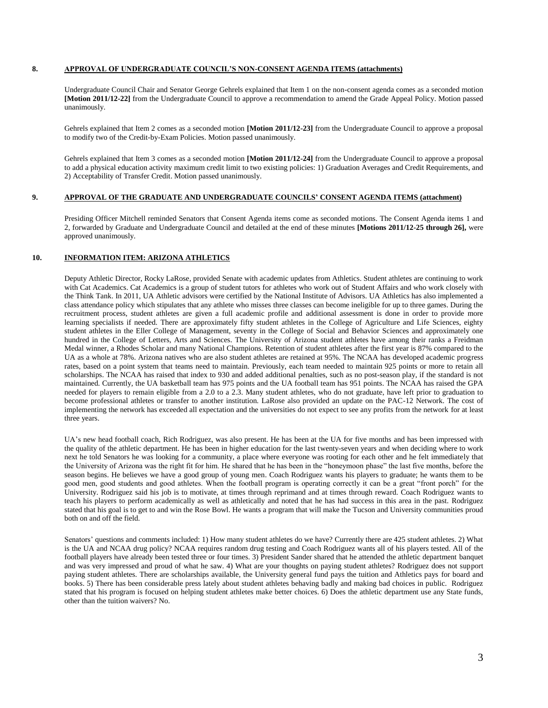### **8. APPROVAL OF UNDERGRADUATE COUNCIL'S NON-CONSENT AGENDA ITEMS (attachments)**

Undergraduate Council Chair and Senator George Gehrels explained that Item 1 on the non-consent agenda comes as a seconded motion **[Motion 2011/12-22]** from the Undergraduate Council to approve a recommendation to amend the Grade Appeal Policy. Motion passed unanimously.

Gehrels explained that Item 2 comes as a seconded motion **[Motion 2011/12-23]** from the Undergraduate Council to approve a proposal to modify two of the Credit-by-Exam Policies. Motion passed unanimously.

Gehrels explained that Item 3 comes as a seconded motion **[Motion 2011/12-24]** from the Undergraduate Council to approve a proposal to add a physical education activity maximum credit limit to two existing policies: 1) Graduation Averages and Credit Requirements, and 2) Acceptability of Transfer Credit. Motion passed unanimously.

# **9. APPROVAL OF THE GRADUATE AND UNDERGRADUATE COUNCILS' CONSENT AGENDA ITEMS (attachment)**

Presiding Officer Mitchell reminded Senators that Consent Agenda items come as seconded motions. The Consent Agenda items 1 and 2, forwarded by Graduate and Undergraduate Council and detailed at the end of these minutes **[Motions 2011/12-25 through 26],** were approved unanimously.

### **10. INFORMATION ITEM: ARIZONA ATHLETICS**

Deputy Athletic Director, Rocky LaRose, provided Senate with academic updates from Athletics. Student athletes are continuing to work with Cat Academics. Cat Academics is a group of student tutors for athletes who work out of Student Affairs and who work closely with the Think Tank. In 2011, UA Athletic advisors were certified by the National Institute of Advisors. UA Athletics has also implemented a class attendance policy which stipulates that any athlete who misses three classes can become ineligible for up to three games. During the recruitment process, student athletes are given a full academic profile and additional assessment is done in order to provide more learning specialists if needed. There are approximately fifty student athletes in the College of Agriculture and Life Sciences, eighty student athletes in the Eller College of Management, seventy in the College of Social and Behavior Sciences and approximately one hundred in the College of Letters, Arts and Sciences. The University of Arizona student athletes have among their ranks a Freidman Medal winner, a Rhodes Scholar and many National Champions. Retention of student athletes after the first year is 87% compared to the UA as a whole at 78%. Arizona natives who are also student athletes are retained at 95%. The NCAA has developed academic progress rates, based on a point system that teams need to maintain. Previously, each team needed to maintain 925 points or more to retain all scholarships. The NCAA has raised that index to 930 and added additional penalties, such as no post-season play, if the standard is not maintained. Currently, the UA basketball team has 975 points and the UA football team has 951 points. The NCAA has raised the GPA needed for players to remain eligible from a 2.0 to a 2.3. Many student athletes, who do not graduate, have left prior to graduation to become professional athletes or transfer to another institution. LaRose also provided an update on the PAC-12 Network. The cost of implementing the network has exceeded all expectation and the universities do not expect to see any profits from the network for at least three years.

UA's new head football coach, Rich Rodriguez, was also present. He has been at the UA for five months and has been impressed with the quality of the athletic department. He has been in higher education for the last twenty-seven years and when deciding where to work next he told Senators he was looking for a community, a place where everyone was rooting for each other and he felt immediately that the University of Arizona was the right fit for him. He shared that he has been in the "honeymoon phase" the last five months, before the season begins. He believes we have a good group of young men. Coach Rodriguez wants his players to graduate; he wants them to be good men, good students and good athletes. When the football program is operating correctly it can be a great "front porch" for the University. Rodriguez said his job is to motivate, at times through reprimand and at times through reward. Coach Rodriguez wants to teach his players to perform academically as well as athletically and noted that he has had success in this area in the past. Rodriguez stated that his goal is to get to and win the Rose Bowl. He wants a program that will make the Tucson and University communities proud both on and off the field.

Senators' questions and comments included: 1) How many student athletes do we have? Currently there are 425 student athletes. 2) What is the UA and NCAA drug policy? NCAA requires random drug testing and Coach Rodriguez wants all of his players tested. All of the football players have already been tested three or four times. 3) President Sander shared that he attended the athletic department banquet and was very impressed and proud of what he saw. 4) What are your thoughts on paying student athletes? Rodriguez does not support paying student athletes. There are scholarships available, the University general fund pays the tuition and Athletics pays for board and books. 5) There has been considerable press lately about student athletes behaving badly and making bad choices in public. Rodriguez stated that his program is focused on helping student athletes make better choices. 6) Does the athletic department use any State funds, other than the tuition waivers? No.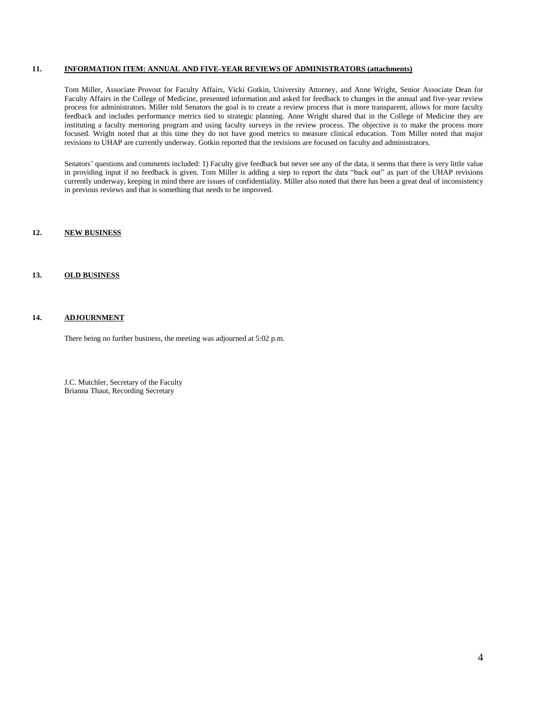### **11. INFORMATION ITEM: ANNUAL AND FIVE-YEAR REVIEWS OF ADMINISTRATORS (attachments)**

Tom Miller, Associate Provost for Faculty Affairs, Vicki Gotkin, University Attorney, and Anne Wright, Senior Associate Dean for Faculty Affairs in the College of Medicine, presented information and asked for feedback to changes in the annual and five-year review process for administrators. Miller told Senators the goal is to create a review process that is more transparent, allows for more faculty feedback and includes performance metrics tied to strategic planning. Anne Wright shared that in the College of Medicine they are instituting a faculty mentoring program and using faculty surveys in the review process. The objective is to make the process more focused. Wright noted that at this time they do not have good metrics to measure clinical education. Tom Miller noted that major revisions to UHAP are currently underway. Gotkin reported that the revisions are focused on faculty and administrators.

Senators' questions and comments included: 1) Faculty give feedback but never see any of the data, it seems that there is very little value in providing input if no feedback is given. Tom Miller is adding a step to report the data "back out" as part of the UHAP revisions currently underway, keeping in mind there are issues of confidentiality. Miller also noted that there has been a great deal of inconsistency in previous reviews and that is something that needs to be improved.

### **12. NEW BUSINESS**

# **13. OLD BUSINESS**

## **14. ADJOURNMENT**

There being no further business, the meeting was adjourned at 5:02 p.m.

J.C. Mutchler, Secretary of the Faculty Brianna Thaut, Recording Secretary